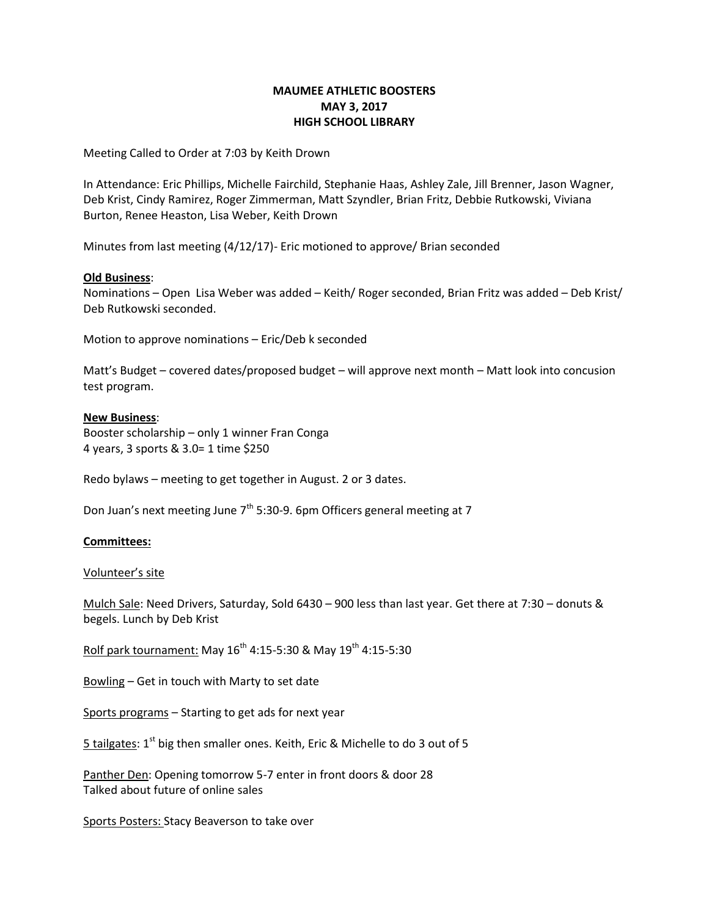# **MAUMEE ATHLETIC BOOSTERS MAY 3, 2017 HIGH SCHOOL LIBRARY**

Meeting Called to Order at 7:03 by Keith Drown

In Attendance: Eric Phillips, Michelle Fairchild, Stephanie Haas, Ashley Zale, Jill Brenner, Jason Wagner, Deb Krist, Cindy Ramirez, Roger Zimmerman, Matt Szyndler, Brian Fritz, Debbie Rutkowski, Viviana Burton, Renee Heaston, Lisa Weber, Keith Drown

Minutes from last meeting (4/12/17)- Eric motioned to approve/ Brian seconded

### **Old Business**:

Nominations – Open Lisa Weber was added – Keith/ Roger seconded, Brian Fritz was added – Deb Krist/ Deb Rutkowski seconded.

Motion to approve nominations – Eric/Deb k seconded

Matt's Budget – covered dates/proposed budget – will approve next month – Matt look into concusion test program.

## **New Business**:

Booster scholarship – only 1 winner Fran Conga 4 years, 3 sports & 3.0= 1 time \$250

Redo bylaws – meeting to get together in August. 2 or 3 dates.

Don Juan's next meeting June  $7<sup>th</sup>$  5:30-9. 6pm Officers general meeting at 7

### **Committees:**

### Volunteer's site

Mulch Sale: Need Drivers, Saturday, Sold 6430 – 900 less than last year. Get there at 7:30 – donuts & begels. Lunch by Deb Krist

Rolf park tournament: May  $16^{th}$  4:15-5:30 & May  $19^{th}$  4:15-5:30

Bowling – Get in touch with Marty to set date

Sports programs – Starting to get ads for next year

 $5$  tailgates: 1<sup>st</sup> big then smaller ones. Keith, Eric & Michelle to do 3 out of 5

Panther Den: Opening tomorrow 5-7 enter in front doors & door 28 Talked about future of online sales

Sports Posters: Stacy Beaverson to take over